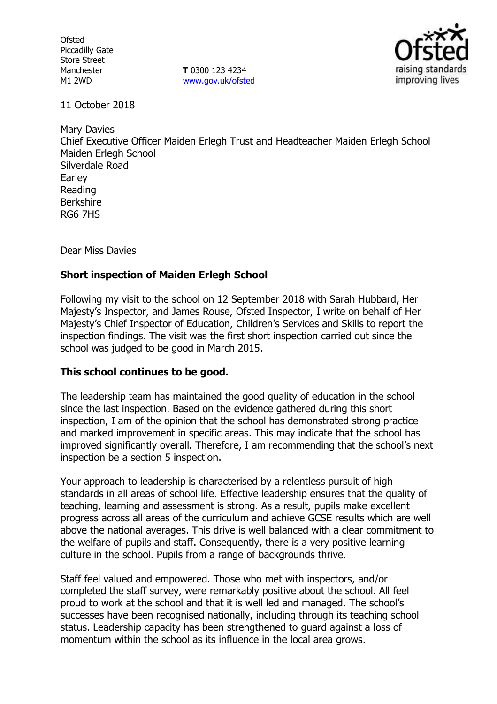**Ofsted** Piccadilly Gate Store Street Manchester M1 2WD

**T** 0300 123 4234 [www.gov.uk/ofsted](http://www.gov.uk/ofsted)



11 October 2018

Mary Davies Chief Executive Officer Maiden Erlegh Trust and Headteacher Maiden Erlegh School Maiden Erlegh School Silverdale Road **Earley** Reading Berkshire RG6 7HS

Dear Miss Davies

## **Short inspection of Maiden Erlegh School**

Following my visit to the school on 12 September 2018 with Sarah Hubbard, Her Majesty's Inspector, and James Rouse, Ofsted Inspector, I write on behalf of Her Majesty's Chief Inspector of Education, Children's Services and Skills to report the inspection findings. The visit was the first short inspection carried out since the school was judged to be good in March 2015.

## **This school continues to be good.**

The leadership team has maintained the good quality of education in the school since the last inspection. Based on the evidence gathered during this short inspection, I am of the opinion that the school has demonstrated strong practice and marked improvement in specific areas. This may indicate that the school has improved significantly overall. Therefore, I am recommending that the school's next inspection be a section 5 inspection.

Your approach to leadership is characterised by a relentless pursuit of high standards in all areas of school life. Effective leadership ensures that the quality of teaching, learning and assessment is strong. As a result, pupils make excellent progress across all areas of the curriculum and achieve GCSE results which are well above the national averages. This drive is well balanced with a clear commitment to the welfare of pupils and staff. Consequently, there is a very positive learning culture in the school. Pupils from a range of backgrounds thrive.

Staff feel valued and empowered. Those who met with inspectors, and/or completed the staff survey, were remarkably positive about the school. All feel proud to work at the school and that it is well led and managed. The school's successes have been recognised nationally, including through its teaching school status. Leadership capacity has been strengthened to guard against a loss of momentum within the school as its influence in the local area grows.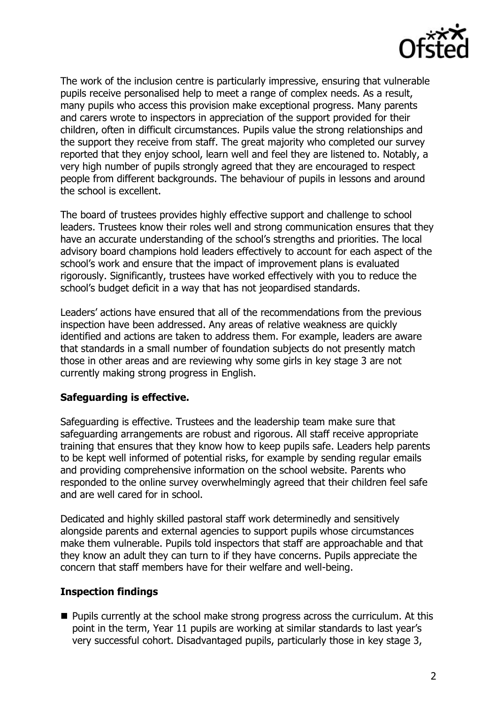

The work of the inclusion centre is particularly impressive, ensuring that vulnerable pupils receive personalised help to meet a range of complex needs. As a result, many pupils who access this provision make exceptional progress. Many parents and carers wrote to inspectors in appreciation of the support provided for their children, often in difficult circumstances. Pupils value the strong relationships and the support they receive from staff. The great majority who completed our survey reported that they enjoy school, learn well and feel they are listened to. Notably, a very high number of pupils strongly agreed that they are encouraged to respect people from different backgrounds. The behaviour of pupils in lessons and around the school is excellent.

The board of trustees provides highly effective support and challenge to school leaders. Trustees know their roles well and strong communication ensures that they have an accurate understanding of the school's strengths and priorities. The local advisory board champions hold leaders effectively to account for each aspect of the school's work and ensure that the impact of improvement plans is evaluated rigorously. Significantly, trustees have worked effectively with you to reduce the school's budget deficit in a way that has not jeopardised standards.

Leaders' actions have ensured that all of the recommendations from the previous inspection have been addressed. Any areas of relative weakness are quickly identified and actions are taken to address them. For example, leaders are aware that standards in a small number of foundation subjects do not presently match those in other areas and are reviewing why some girls in key stage 3 are not currently making strong progress in English.

## **Safeguarding is effective.**

Safeguarding is effective. Trustees and the leadership team make sure that safeguarding arrangements are robust and rigorous. All staff receive appropriate training that ensures that they know how to keep pupils safe. Leaders help parents to be kept well informed of potential risks, for example by sending regular emails and providing comprehensive information on the school website. Parents who responded to the online survey overwhelmingly agreed that their children feel safe and are well cared for in school.

Dedicated and highly skilled pastoral staff work determinedly and sensitively alongside parents and external agencies to support pupils whose circumstances make them vulnerable. Pupils told inspectors that staff are approachable and that they know an adult they can turn to if they have concerns. Pupils appreciate the concern that staff members have for their welfare and well-being.

#### **Inspection findings**

**Pupils currently at the school make strong progress across the curriculum. At this** point in the term, Year 11 pupils are working at similar standards to last year's very successful cohort. Disadvantaged pupils, particularly those in key stage 3,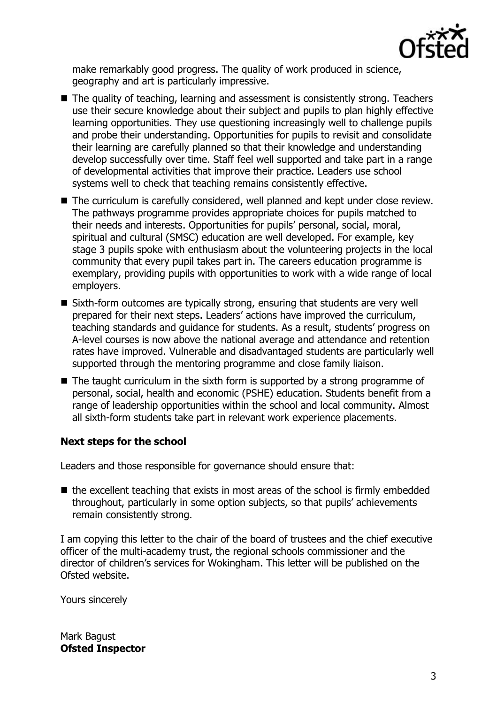

make remarkably good progress. The quality of work produced in science, geography and art is particularly impressive.

- The quality of teaching, learning and assessment is consistently strong. Teachers use their secure knowledge about their subject and pupils to plan highly effective learning opportunities. They use questioning increasingly well to challenge pupils and probe their understanding. Opportunities for pupils to revisit and consolidate their learning are carefully planned so that their knowledge and understanding develop successfully over time. Staff feel well supported and take part in a range of developmental activities that improve their practice. Leaders use school systems well to check that teaching remains consistently effective.
- The curriculum is carefully considered, well planned and kept under close review. The pathways programme provides appropriate choices for pupils matched to their needs and interests. Opportunities for pupils' personal, social, moral, spiritual and cultural (SMSC) education are well developed. For example, key stage 3 pupils spoke with enthusiasm about the volunteering projects in the local community that every pupil takes part in. The careers education programme is exemplary, providing pupils with opportunities to work with a wide range of local employers.
- Sixth-form outcomes are typically strong, ensuring that students are very well prepared for their next steps. Leaders' actions have improved the curriculum, teaching standards and guidance for students. As a result, students' progress on A-level courses is now above the national average and attendance and retention rates have improved. Vulnerable and disadvantaged students are particularly well supported through the mentoring programme and close family liaison.
- $\blacksquare$  The taught curriculum in the sixth form is supported by a strong programme of personal, social, health and economic (PSHE) education. Students benefit from a range of leadership opportunities within the school and local community. Almost all sixth-form students take part in relevant work experience placements.

# **Next steps for the school**

Leaders and those responsible for governance should ensure that:

 $\blacksquare$  the excellent teaching that exists in most areas of the school is firmly embedded throughout, particularly in some option subjects, so that pupils' achievements remain consistently strong.

I am copying this letter to the chair of the board of trustees and the chief executive officer of the multi-academy trust, the regional schools commissioner and the director of children's services for Wokingham. This letter will be published on the Ofsted website.

Yours sincerely

Mark Bagust **Ofsted Inspector**